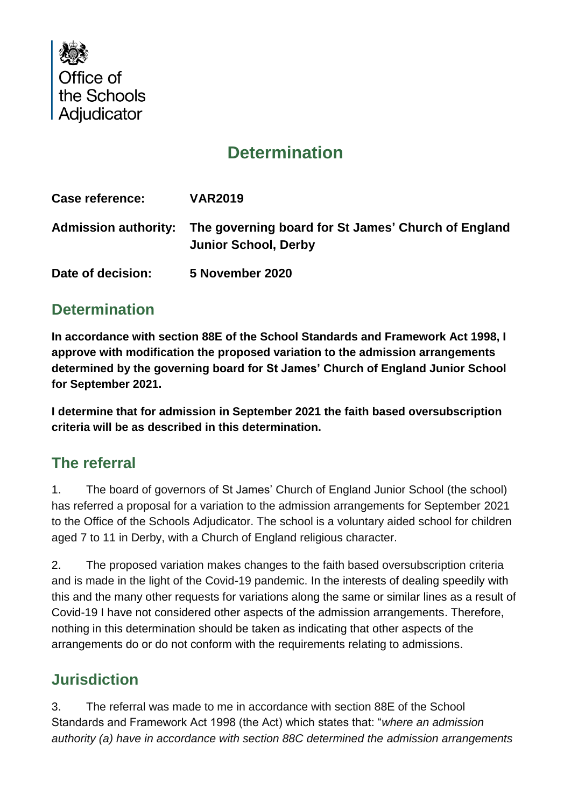

# **Determination**

| <b>Case reference:</b> | <b>VAR2019</b>                                                                                          |
|------------------------|---------------------------------------------------------------------------------------------------------|
|                        | Admission authority: The governing board for St James' Church of England<br><b>Junior School, Derby</b> |
| Date of decision:      | 5 November 2020                                                                                         |

## **Determination**

**In accordance with section 88E of the School Standards and Framework Act 1998, I approve with modification the proposed variation to the admission arrangements determined by the governing board for St James' Church of England Junior School for September 2021.**

**I determine that for admission in September 2021 the faith based oversubscription criteria will be as described in this determination.** 

### **The referral**

1. The board of governors of St James' Church of England Junior School (the school) has referred a proposal for a variation to the admission arrangements for September 2021 to the Office of the Schools Adjudicator. The school is a voluntary aided school for children aged 7 to 11 in Derby, with a Church of England religious character.

2. The proposed variation makes changes to the faith based oversubscription criteria and is made in the light of the Covid-19 pandemic. In the interests of dealing speedily with this and the many other requests for variations along the same or similar lines as a result of Covid-19 I have not considered other aspects of the admission arrangements. Therefore, nothing in this determination should be taken as indicating that other aspects of the arrangements do or do not conform with the requirements relating to admissions.

### **Jurisdiction**

3. The referral was made to me in accordance with section 88E of the School Standards and Framework Act 1998 (the Act) which states that: "*where an admission authority (a) have in accordance with section 88C determined the admission arrangements*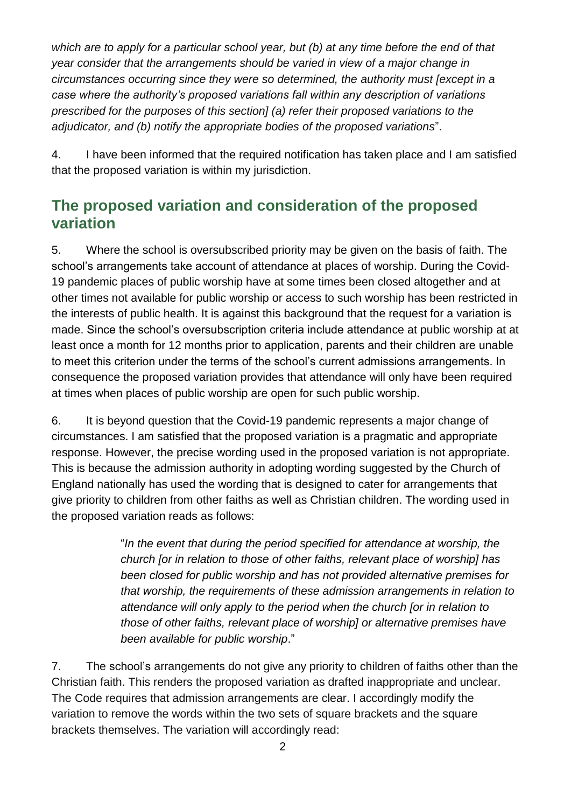*which are to apply for a particular school year, but (b) at any time before the end of that year consider that the arrangements should be varied in view of a major change in circumstances occurring since they were so determined, the authority must [except in a case where the authority's proposed variations fall within any description of variations prescribed for the purposes of this section] (a) refer their proposed variations to the adjudicator, and (b) notify the appropriate bodies of the proposed variations*".

4. I have been informed that the required notification has taken place and I am satisfied that the proposed variation is within my jurisdiction.

### **The proposed variation and consideration of the proposed variation**

5. Where the school is oversubscribed priority may be given on the basis of faith. The school's arrangements take account of attendance at places of worship. During the Covid-19 pandemic places of public worship have at some times been closed altogether and at other times not available for public worship or access to such worship has been restricted in the interests of public health. It is against this background that the request for a variation is made. Since the school's oversubscription criteria include attendance at public worship at at least once a month for 12 months prior to application, parents and their children are unable to meet this criterion under the terms of the school's current admissions arrangements. In consequence the proposed variation provides that attendance will only have been required at times when places of public worship are open for such public worship.

6. It is beyond question that the Covid-19 pandemic represents a major change of circumstances. I am satisfied that the proposed variation is a pragmatic and appropriate response. However, the precise wording used in the proposed variation is not appropriate. This is because the admission authority in adopting wording suggested by the Church of England nationally has used the wording that is designed to cater for arrangements that give priority to children from other faiths as well as Christian children. The wording used in the proposed variation reads as follows:

> "*In the event that during the period specified for attendance at worship, the church [or in relation to those of other faiths, relevant place of worship] has been closed for public worship and has not provided alternative premises for that worship, the requirements of these admission arrangements in relation to attendance will only apply to the period when the church [or in relation to those of other faiths, relevant place of worship] or alternative premises have been available for public worship*."

7. The school's arrangements do not give any priority to children of faiths other than the Christian faith. This renders the proposed variation as drafted inappropriate and unclear. The Code requires that admission arrangements are clear. I accordingly modify the variation to remove the words within the two sets of square brackets and the square brackets themselves. The variation will accordingly read: